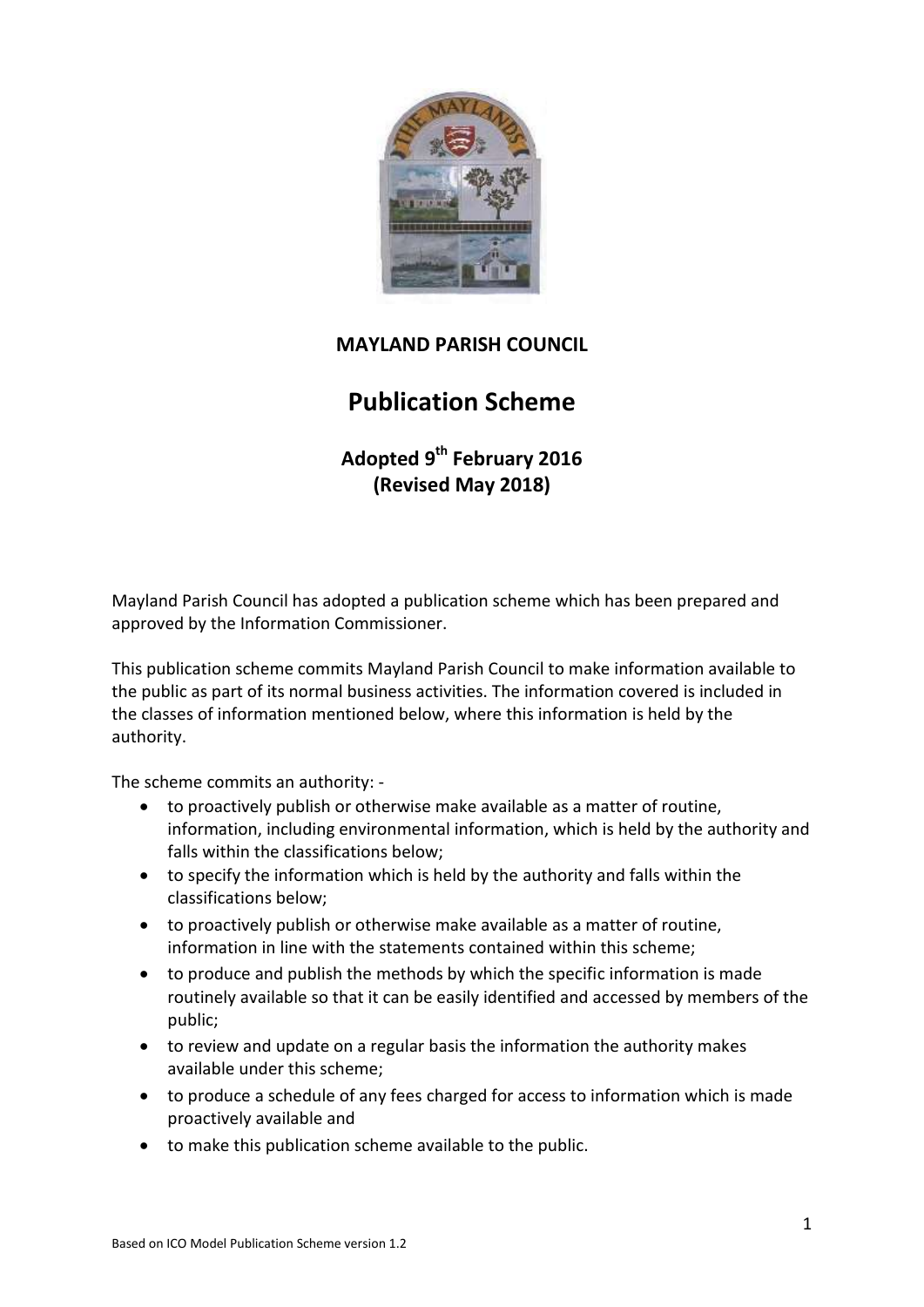

## **MAYLAND PARISH COUNCIL**

# **Publication Scheme**

**Adopted 9 th February 2016 (Revised May 2018)**

Mayland Parish Council has adopted a publication scheme which has been prepared and approved by the Information Commissioner.

This publication scheme commits Mayland Parish Council to make information available to the public as part of its normal business activities. The information covered is included in the classes of information mentioned below, where this information is held by the authority.

The scheme commits an authority: -

- to proactively publish or otherwise make available as a matter of routine, information, including environmental information, which is held by the authority and falls within the classifications below;
- to specify the information which is held by the authority and falls within the classifications below;
- to proactively publish or otherwise make available as a matter of routine, information in line with the statements contained within this scheme;
- to produce and publish the methods by which the specific information is made routinely available so that it can be easily identified and accessed by members of the public;
- to review and update on a regular basis the information the authority makes available under this scheme;
- to produce a schedule of any fees charged for access to information which is made proactively available and
- to make this publication scheme available to the public.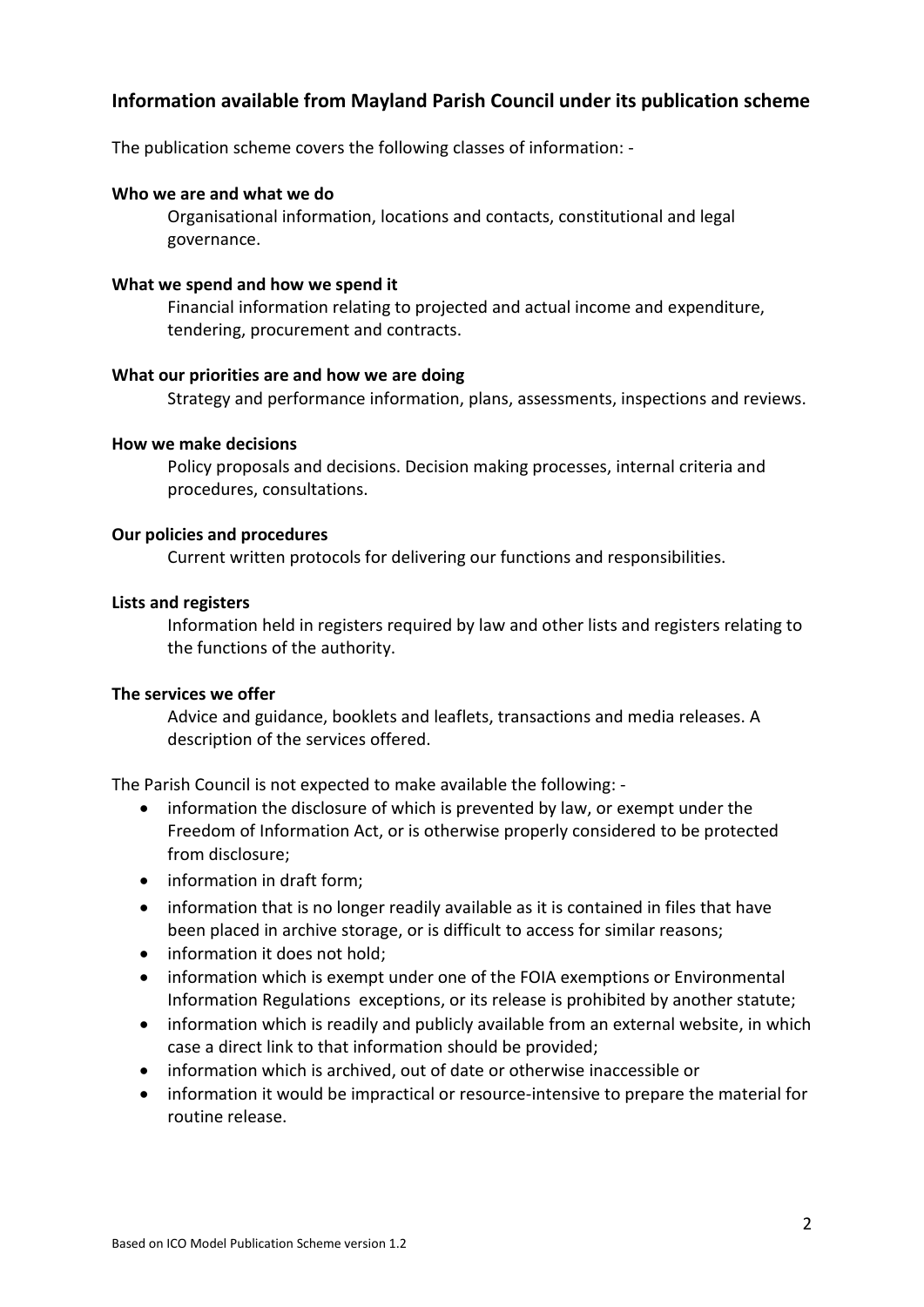## **Information available from Mayland Parish Council under its publication scheme**

The publication scheme covers the following classes of information: -

#### **Who we are and what we do**

Organisational information, locations and contacts, constitutional and legal governance.

#### **What we spend and how we spend it**

Financial information relating to projected and actual income and expenditure, tendering, procurement and contracts.

#### **What our priorities are and how we are doing**

Strategy and performance information, plans, assessments, inspections and reviews.

#### **How we make decisions**

Policy proposals and decisions. Decision making processes, internal criteria and procedures, consultations.

#### **Our policies and procedures**

Current written protocols for delivering our functions and responsibilities.

#### **Lists and registers**

Information held in registers required by law and other lists and registers relating to the functions of the authority.

#### **The services we offer**

Advice and guidance, booklets and leaflets, transactions and media releases. A description of the services offered.

The Parish Council is not expected to make available the following: -

- information the disclosure of which is prevented by law, or exempt under the Freedom of Information Act, or is otherwise properly considered to be protected from disclosure;
- information in draft form;
- information that is no longer readily available as it is contained in files that have been placed in archive storage, or is difficult to access for similar reasons;
- information it does not hold;
- information which is exempt under one of the FOIA exemptions or Environmental Information Regulations exceptions, or its release is prohibited by another statute;
- information which is readily and publicly available from an external website, in which case a direct link to that information should be provided;
- information which is archived, out of date or otherwise inaccessible or
- information it would be impractical or resource-intensive to prepare the material for routine release.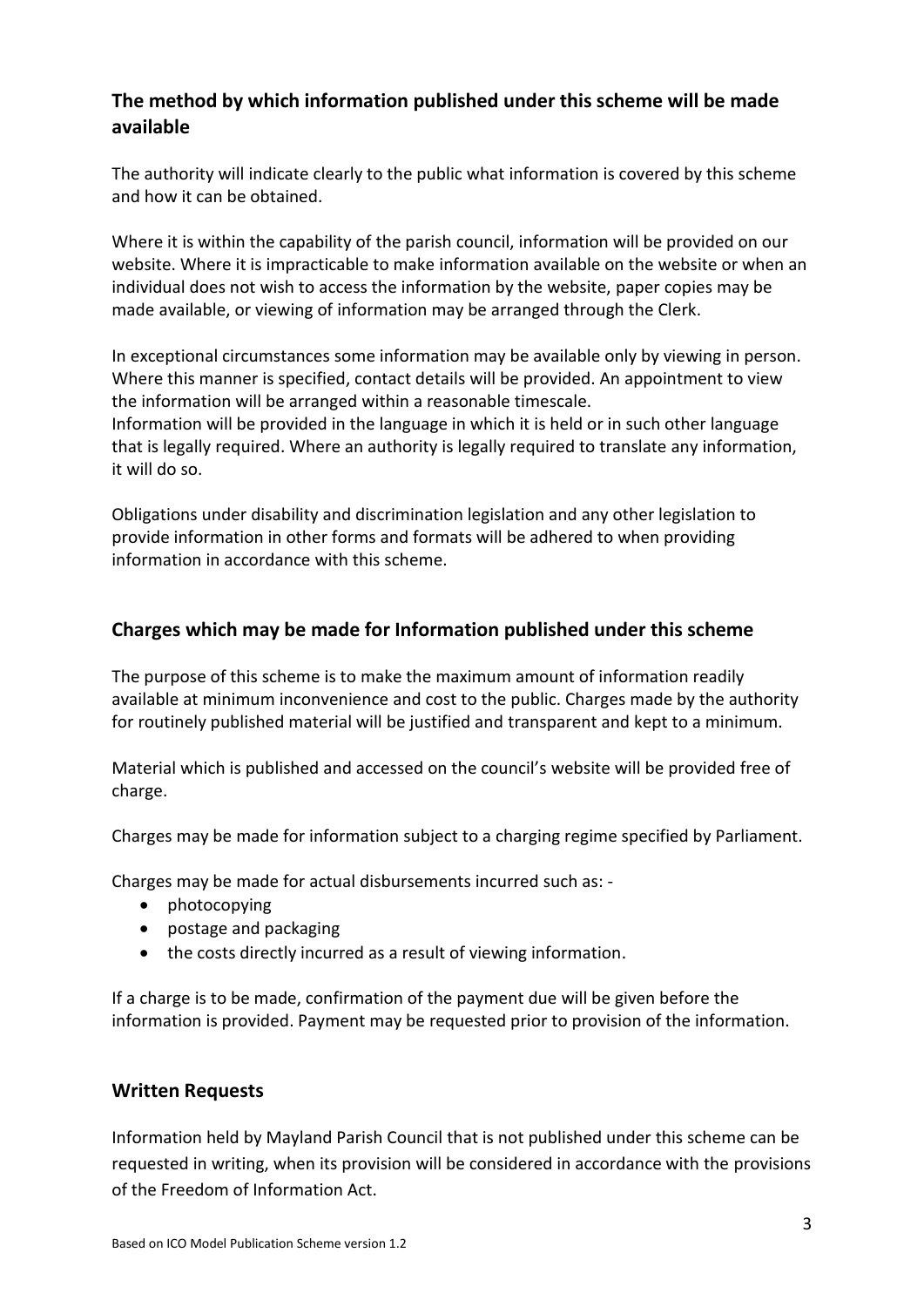## **The method by which information published under this scheme will be made available**

The authority will indicate clearly to the public what information is covered by this scheme and how it can be obtained.

Where it is within the capability of the parish council, information will be provided on our website. Where it is impracticable to make information available on the website or when an individual does not wish to access the information by the website, paper copies may be made available, or viewing of information may be arranged through the Clerk.

In exceptional circumstances some information may be available only by viewing in person. Where this manner is specified, contact details will be provided. An appointment to view the information will be arranged within a reasonable timescale.

Information will be provided in the language in which it is held or in such other language that is legally required. Where an authority is legally required to translate any information, it will do so.

Obligations under disability and discrimination legislation and any other legislation to provide information in other forms and formats will be adhered to when providing information in accordance with this scheme.

## **Charges which may be made for Information published under this scheme**

The purpose of this scheme is to make the maximum amount of information readily available at minimum inconvenience and cost to the public. Charges made by the authority for routinely published material will be justified and transparent and kept to a minimum.

Material which is published and accessed on the council's website will be provided free of charge.

Charges may be made for information subject to a charging regime specified by Parliament.

Charges may be made for actual disbursements incurred such as: -

- photocopying
- postage and packaging
- the costs directly incurred as a result of viewing information.

If a charge is to be made, confirmation of the payment due will be given before the information is provided. Payment may be requested prior to provision of the information.

### **Written Requests**

Information held by Mayland Parish Council that is not published under this scheme can be requested in writing, when its provision will be considered in accordance with the provisions of the Freedom of Information Act.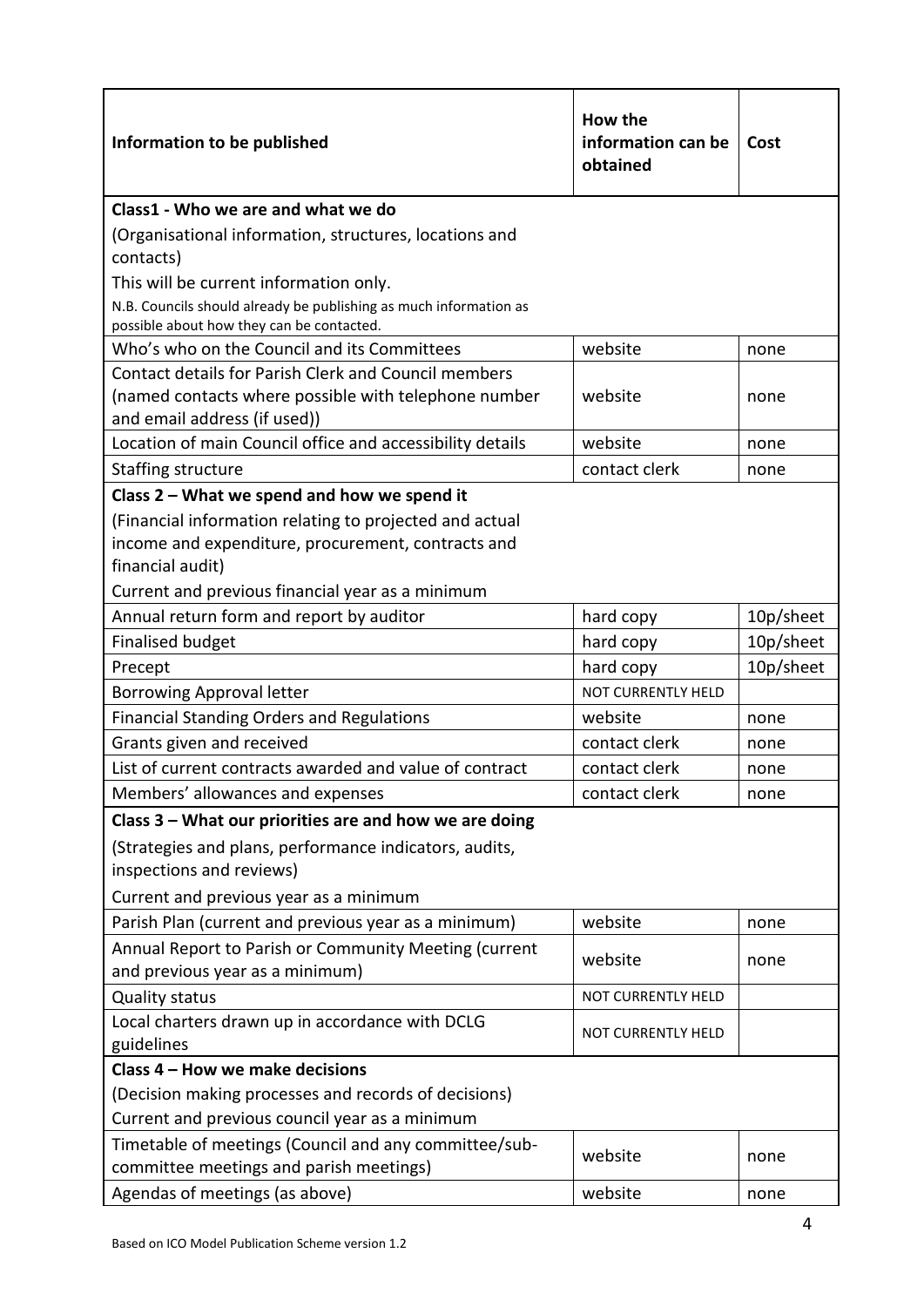| Information to be published                                                                                                                                                            | How the<br>information can be<br>obtained | Cost      |  |  |
|----------------------------------------------------------------------------------------------------------------------------------------------------------------------------------------|-------------------------------------------|-----------|--|--|
| Class1 - Who we are and what we do                                                                                                                                                     |                                           |           |  |  |
| (Organisational information, structures, locations and<br>contacts)                                                                                                                    |                                           |           |  |  |
| This will be current information only.                                                                                                                                                 |                                           |           |  |  |
| N.B. Councils should already be publishing as much information as<br>possible about how they can be contacted.                                                                         |                                           |           |  |  |
| Who's who on the Council and its Committees                                                                                                                                            | website                                   | none      |  |  |
| <b>Contact details for Parish Clerk and Council members</b><br>(named contacts where possible with telephone number<br>and email address (if used))                                    | website<br>none                           |           |  |  |
| Location of main Council office and accessibility details                                                                                                                              | website                                   | none      |  |  |
| Staffing structure                                                                                                                                                                     | contact clerk                             | none      |  |  |
| Class $2$ – What we spend and how we spend it                                                                                                                                          |                                           |           |  |  |
| (Financial information relating to projected and actual<br>income and expenditure, procurement, contracts and<br>financial audit)<br>Current and previous financial year as a minimum  |                                           |           |  |  |
| Annual return form and report by auditor                                                                                                                                               | hard copy                                 | 10p/sheet |  |  |
| <b>Finalised budget</b>                                                                                                                                                                | hard copy                                 | 10p/sheet |  |  |
| Precept                                                                                                                                                                                | 10p/sheet<br>hard copy                    |           |  |  |
| <b>Borrowing Approval letter</b>                                                                                                                                                       | NOT CURRENTLY HELD                        |           |  |  |
| <b>Financial Standing Orders and Regulations</b>                                                                                                                                       | website<br>none                           |           |  |  |
| Grants given and received                                                                                                                                                              | contact clerk<br>none                     |           |  |  |
| List of current contracts awarded and value of contract                                                                                                                                | contact clerk<br>none                     |           |  |  |
| Members' allowances and expenses                                                                                                                                                       | contact clerk<br>none                     |           |  |  |
| Class 3 - What our priorities are and how we are doing<br>(Strategies and plans, performance indicators, audits,<br>inspections and reviews)<br>Current and previous year as a minimum |                                           |           |  |  |
| Parish Plan (current and previous year as a minimum)                                                                                                                                   | website                                   | none      |  |  |
| Annual Report to Parish or Community Meeting (current<br>and previous year as a minimum)                                                                                               | website<br>none                           |           |  |  |
| <b>Quality status</b>                                                                                                                                                                  | <b>NOT CURRENTLY HELD</b>                 |           |  |  |
| Local charters drawn up in accordance with DCLG<br>guidelines                                                                                                                          | NOT CURRENTLY HELD                        |           |  |  |
| Class 4 - How we make decisions                                                                                                                                                        |                                           |           |  |  |
| (Decision making processes and records of decisions)<br>Current and previous council year as a minimum                                                                                 |                                           |           |  |  |
| Timetable of meetings (Council and any committee/sub-<br>committee meetings and parish meetings)                                                                                       | website                                   | none      |  |  |
| Agendas of meetings (as above)                                                                                                                                                         | website                                   | none      |  |  |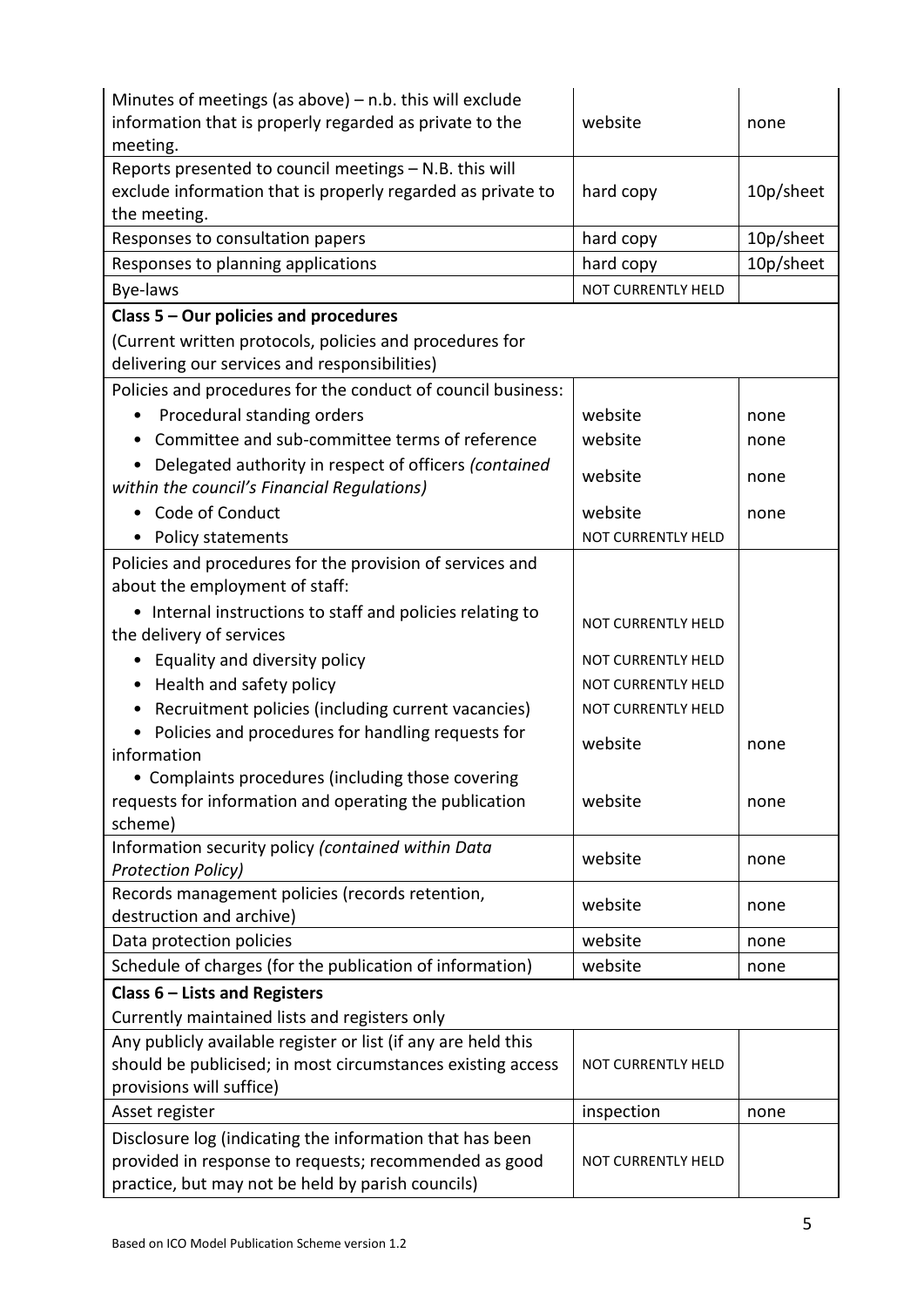| Minutes of meetings (as above) $-$ n.b. this will exclude                                            | website                   |           |  |
|------------------------------------------------------------------------------------------------------|---------------------------|-----------|--|
| information that is properly regarded as private to the<br>meeting.                                  |                           | none      |  |
| Reports presented to council meetings - N.B. this will                                               |                           |           |  |
| exclude information that is properly regarded as private to                                          | hard copy                 | 10p/sheet |  |
| the meeting.                                                                                         |                           |           |  |
| Responses to consultation papers                                                                     | hard copy                 | 10p/sheet |  |
| Responses to planning applications                                                                   | 10p/sheet<br>hard copy    |           |  |
| Bye-laws                                                                                             | NOT CURRENTLY HELD        |           |  |
| Class 5 - Our policies and procedures                                                                |                           |           |  |
| (Current written protocols, policies and procedures for                                              |                           |           |  |
| delivering our services and responsibilities)                                                        |                           |           |  |
| Policies and procedures for the conduct of council business:                                         |                           |           |  |
| Procedural standing orders                                                                           | website                   | none      |  |
| Committee and sub-committee terms of reference                                                       | website                   | none      |  |
| Delegated authority in respect of officers (contained<br>within the council's Financial Regulations) | website                   | none      |  |
| • Code of Conduct                                                                                    | website                   | none      |  |
| • Policy statements                                                                                  | NOT CURRENTLY HELD        |           |  |
| Policies and procedures for the provision of services and                                            |                           |           |  |
| about the employment of staff:                                                                       |                           |           |  |
| • Internal instructions to staff and policies relating to                                            |                           |           |  |
| the delivery of services                                                                             | <b>NOT CURRENTLY HELD</b> |           |  |
| Equality and diversity policy                                                                        | <b>NOT CURRENTLY HELD</b> |           |  |
| Health and safety policy<br>٠                                                                        | NOT CURRENTLY HELD        |           |  |
| Recruitment policies (including current vacancies)<br>٠                                              | NOT CURRENTLY HELD        |           |  |
| Policies and procedures for handling requests for<br>$\bullet$                                       | website                   | none      |  |
| information                                                                                          |                           |           |  |
| • Complaints procedures (including those covering                                                    |                           |           |  |
| requests for information and operating the publication                                               | website                   | none      |  |
| scheme)                                                                                              |                           |           |  |
| Information security policy (contained within Data<br><b>Protection Policy)</b>                      | website                   | none      |  |
| Records management policies (records retention,                                                      |                           |           |  |
| destruction and archive)                                                                             | website                   | none      |  |
| Data protection policies                                                                             | website                   | none      |  |
| Schedule of charges (for the publication of information)                                             | website                   | none      |  |
| Class $6$ – Lists and Registers                                                                      |                           |           |  |
| Currently maintained lists and registers only                                                        |                           |           |  |
| Any publicly available register or list (if any are held this                                        |                           |           |  |
| should be publicised; in most circumstances existing access                                          | NOT CURRENTLY HELD        |           |  |
| provisions will suffice)                                                                             |                           |           |  |
| Asset register                                                                                       | inspection                | none      |  |
| Disclosure log (indicating the information that has been                                             |                           |           |  |
| provided in response to requests; recommended as good                                                | NOT CURRENTLY HELD        |           |  |
| practice, but may not be held by parish councils)                                                    |                           |           |  |